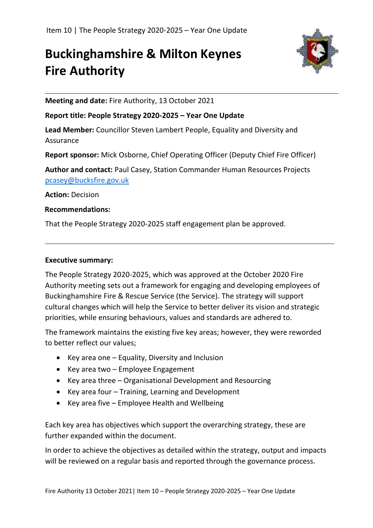# **Buckinghamshire & Milton Keynes Fire Authority**



**Meeting and date:** Fire Authority, 13 October 2021

#### **Report title: People Strategy 2020-2025 – Year One Update**

**Lead Member:** Councillor Steven Lambert People, Equality and Diversity and Assurance

**Report sponsor:** Mick Osborne, Chief Operating Officer (Deputy Chief Fire Officer)

**Author and contact:** Paul Casey, Station Commander Human Resources Projects [pcasey@bucksfire.gov.uk](mailto:pcasey@bucksfire.gov.uk)

**Action:** Decision

#### **Recommendations:**

That the People Strategy 2020-2025 staff engagement plan be approved.

#### **Executive summary:**

The People Strategy 2020-2025, which was approved at the October 2020 Fire Authority meeting sets out a framework for engaging and developing employees of Buckinghamshire Fire & Rescue Service (the Service). The strategy will support cultural changes which will help the Service to better deliver its vision and strategic priorities, while ensuring behaviours, values and standards are adhered to.

The framework maintains the existing five key areas; however, they were reworded to better reflect our values;

- Key area one Equality, Diversity and Inclusion
- Key area two Employee Engagement
- Key area three Organisational Development and Resourcing
- Key area four Training, Learning and Development
- Key area five Employee Health and Wellbeing

Each key area has objectives which support the overarching strategy, these are further expanded within the document.

In order to achieve the objectives as detailed within the strategy, output and impacts will be reviewed on a regular basis and reported through the governance process.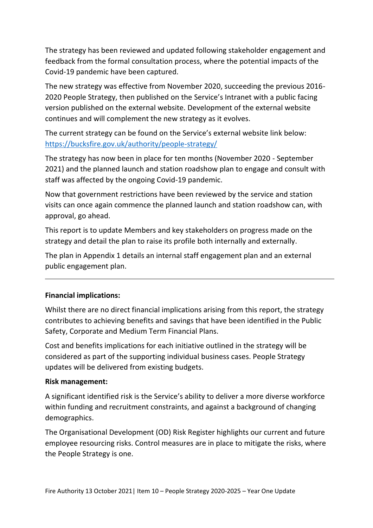The strategy has been reviewed and updated following stakeholder engagement and feedback from the formal consultation process, where the potential impacts of the Covid-19 pandemic have been captured.

The new strategy was effective from November 2020, succeeding the previous 2016- 2020 People Strategy, then published on the Service's Intranet with a public facing version published on the external website. Development of the external website continues and will complement the new strategy as it evolves.

The current strategy can be found on the Service's external website link below: <https://bucksfire.gov.uk/authority/people-strategy/>

The strategy has now been in place for ten months (November 2020 - September 2021) and the planned launch and station roadshow plan to engage and consult with staff was affected by the ongoing Covid-19 pandemic.

Now that government restrictions have been reviewed by the service and station visits can once again commence the planned launch and station roadshow can, with approval, go ahead.

This report is to update Members and key stakeholders on progress made on the strategy and detail the plan to raise its profile both internally and externally.

The plan in Appendix 1 details an internal staff engagement plan and an external public engagement plan.

#### **Financial implications:**

Whilst there are no direct financial implications arising from this report, the strategy contributes to achieving benefits and savings that have been identified in the Public Safety, Corporate and Medium Term Financial Plans.

Cost and benefits implications for each initiative outlined in the strategy will be considered as part of the supporting individual business cases. People Strategy updates will be delivered from existing budgets.

#### **Risk management:**

A significant identified risk is the Service's ability to deliver a more diverse workforce within funding and recruitment constraints, and against a background of changing demographics.

The Organisational Development (OD) Risk Register highlights our current and future employee resourcing risks. Control measures are in place to mitigate the risks, where the People Strategy is one.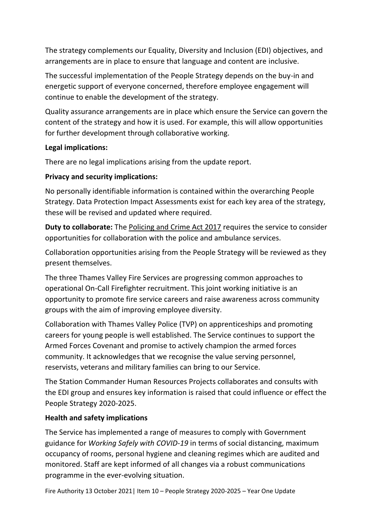The strategy complements our Equality, Diversity and Inclusion (EDI) objectives, and arrangements are in place to ensure that language and content are inclusive.

The successful implementation of the People Strategy depends on the buy-in and energetic support of everyone concerned, therefore employee engagement will continue to enable the development of the strategy.

Quality assurance arrangements are in place which ensure the Service can govern the content of the strategy and how it is used. For example, this will allow opportunities for further development through collaborative working.

#### **Legal implications:**

There are no legal implications arising from the update report.

#### **Privacy and security implications:**

No personally identifiable information is contained within the overarching People Strategy. Data Protection Impact Assessments exist for each key area of the strategy, these will be revised and updated where required.

**Duty to collaborate:** The [Policing and Crime Act 2017](http://www.legislation.gov.uk/ukpga/2017/3/section/2/enacted) requires the service to consider opportunities for collaboration with the police and ambulance services.

Collaboration opportunities arising from the People Strategy will be reviewed as they present themselves.

The three Thames Valley Fire Services are progressing common approaches to operational On-Call Firefighter recruitment. This joint working initiative is an opportunity to promote fire service careers and raise awareness across community groups with the aim of improving employee diversity.

Collaboration with Thames Valley Police (TVP) on apprenticeships and promoting careers for young people is well established. The Service continues to support the Armed Forces Covenant and promise to actively champion the armed forces community. It acknowledges that we recognise the value serving personnel, reservists, veterans and military families can bring to our Service.

The Station Commander Human Resources Projects collaborates and consults with the EDI group and ensures key information is raised that could influence or effect the People Strategy 2020-2025.

#### **Health and safety implications**

The Service has implemented a range of measures to comply with Government guidance for *Working Safely with COVID-19* in terms of social distancing, maximum occupancy of rooms, personal hygiene and cleaning regimes which are audited and monitored. Staff are kept informed of all changes via a robust communications programme in the ever-evolving situation.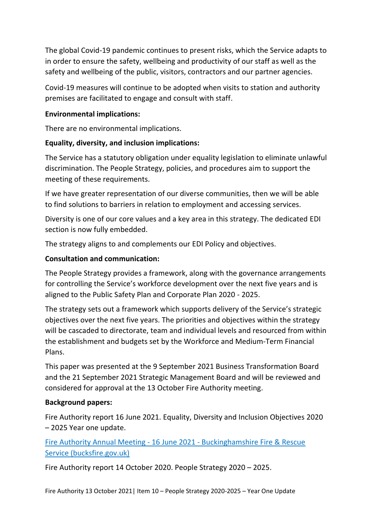The global Covid-19 pandemic continues to present risks, which the Service adapts to in order to ensure the safety, wellbeing and productivity of our staff as well as the safety and wellbeing of the public, visitors, contractors and our partner agencies.

Covid-19 measures will continue to be adopted when visits to station and authority premises are facilitated to engage and consult with staff.

#### **Environmental implications:**

There are no environmental implications.

## **Equality, diversity, and inclusion implications:**

The Service has a statutory obligation under equality legislation to eliminate unlawful discrimination. The People Strategy, policies, and procedures aim to support the meeting of these requirements.

If we have greater representation of our diverse communities, then we will be able to find solutions to barriers in relation to employment and accessing services.

Diversity is one of our core values and a key area in this strategy. The dedicated EDI section is now fully embedded.

The strategy aligns to and complements our EDI Policy and objectives.

## **Consultation and communication:**

The People Strategy provides a framework, along with the governance arrangements for controlling the Service's workforce development over the next five years and is aligned to the Public Safety Plan and Corporate Plan 2020 - 2025.

The strategy sets out a framework which supports delivery of the Service's strategic objectives over the next five years. The priorities and objectives within the strategy will be cascaded to directorate, team and individual levels and resourced from within the establishment and budgets set by the Workforce and Medium-Term Financial Plans.

This paper was presented at the 9 September 2021 Business Transformation Board and the 21 September 2021 Strategic Management Board and will be reviewed and considered for approval at the 13 October Fire Authority meeting.

#### **Background papers:**

Fire Authority report 16 June 2021. Equality, Diversity and Inclusion Objectives 2020 – 2025 Year one update.

Fire Authority Annual Meeting - 16 June 2021 - [Buckinghamshire Fire & Rescue](https://bucksfire.gov.uk/authority/fire-authority-annual-meeting-16-june-2021/)  [Service \(bucksfire.gov.uk\)](https://bucksfire.gov.uk/authority/fire-authority-annual-meeting-16-june-2021/)

Fire Authority report 14 October 2020. People Strategy 2020 – 2025.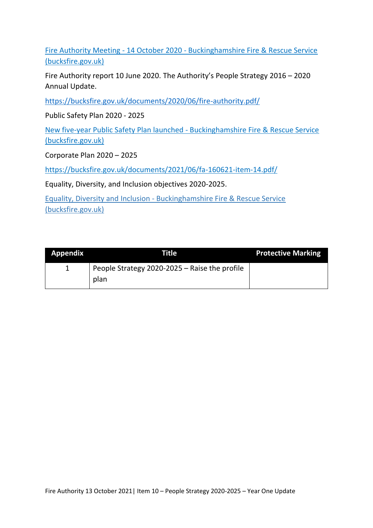Fire Authority Meeting - 14 October 2020 - [Buckinghamshire Fire & Rescue Service](https://bucksfire.gov.uk/authority/fire-authority-meeting-14-october-2020/)  [\(bucksfire.gov.uk\)](https://bucksfire.gov.uk/authority/fire-authority-meeting-14-october-2020/)

Fire Authority report 10 June 2020. The Authority's People Strategy 2016 – 2020 Annual Update.

<https://bucksfire.gov.uk/documents/2020/06/fire-authority.pdf/>

Public Safety Plan 2020 - 2025

[New five-year Public Safety Plan launched -](https://bucksfire.gov.uk/new-five-year-public-safety-plan-launched/) Buckinghamshire Fire & Rescue Service [\(bucksfire.gov.uk\)](https://bucksfire.gov.uk/new-five-year-public-safety-plan-launched/)

Corporate Plan 2020 – 2025

<https://bucksfire.gov.uk/documents/2021/06/fa-160621-item-14.pdf/>

Equality, Diversity, and Inclusion objectives 2020-2025.

Equality, Diversity and Inclusion - [Buckinghamshire Fire & Rescue Service](https://bucksfire.gov.uk/authority/equality-diversity-inclusion/)  [\(bucksfire.gov.uk\)](https://bucksfire.gov.uk/authority/equality-diversity-inclusion/)

| <b>Appendix</b> | Title                                         | <b>Protective Marking</b> |
|-----------------|-----------------------------------------------|---------------------------|
|                 | People Strategy 2020-2025 - Raise the profile |                           |
|                 | plan                                          |                           |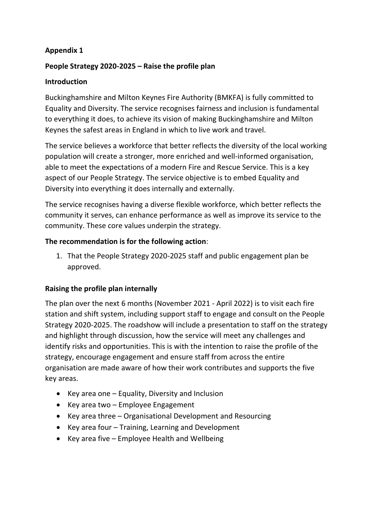#### **Appendix 1**

# **People Strategy 2020-2025 – Raise the profile plan**

#### **Introduction**

Buckinghamshire and Milton Keynes Fire Authority (BMKFA) is fully committed to Equality and Diversity. The service recognises fairness and inclusion is fundamental to everything it does, to achieve its vision of making Buckinghamshire and Milton Keynes the safest areas in England in which to live work and travel.

The service believes a workforce that better reflects the diversity of the local working population will create a stronger, more enriched and well-informed organisation, able to meet the expectations of a modern Fire and Rescue Service. This is a key aspect of our People Strategy. The service objective is to embed Equality and Diversity into everything it does internally and externally.

The service recognises having a diverse flexible workforce, which better reflects the community it serves, can enhance performance as well as improve its service to the community. These core values underpin the strategy.

## **The recommendation is for the following action**:

1. That the People Strategy 2020-2025 staff and public engagement plan be approved.

# **Raising the profile plan internally**

The plan over the next 6 months (November 2021 - April 2022) is to visit each fire station and shift system, including support staff to engage and consult on the People Strategy 2020-2025. The roadshow will include a presentation to staff on the strategy and highlight through discussion, how the service will meet any challenges and identify risks and opportunities. This is with the intention to raise the profile of the strategy, encourage engagement and ensure staff from across the entire organisation are made aware of how their work contributes and supports the five key areas.

- Key area one Equality, Diversity and Inclusion
- Key area two Employee Engagement
- Key area three Organisational Development and Resourcing
- Key area four Training, Learning and Development
- Key area five Employee Health and Wellbeing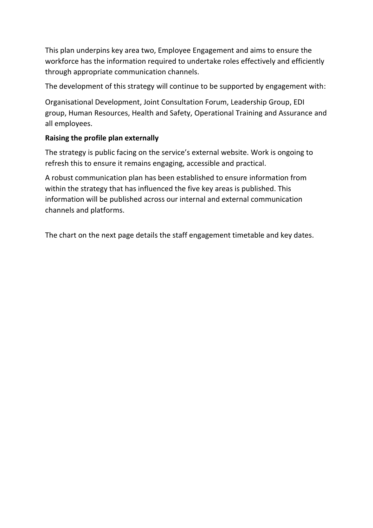This plan underpins key area two, Employee Engagement and aims to ensure the workforce has the information required to undertake roles effectively and efficiently through appropriate communication channels.

The development of this strategy will continue to be supported by engagement with:

Organisational Development, Joint Consultation Forum, Leadership Group, EDI group, Human Resources, Health and Safety, Operational Training and Assurance and all employees.

# **Raising the profile plan externally**

The strategy is public facing on the service's external website. Work is ongoing to refresh this to ensure it remains engaging, accessible and practical.

A robust communication plan has been established to ensure information from within the strategy that has influenced the five key areas is published. This information will be published across our internal and external communication channels and platforms.

The chart on the next page details the staff engagement timetable and key dates.